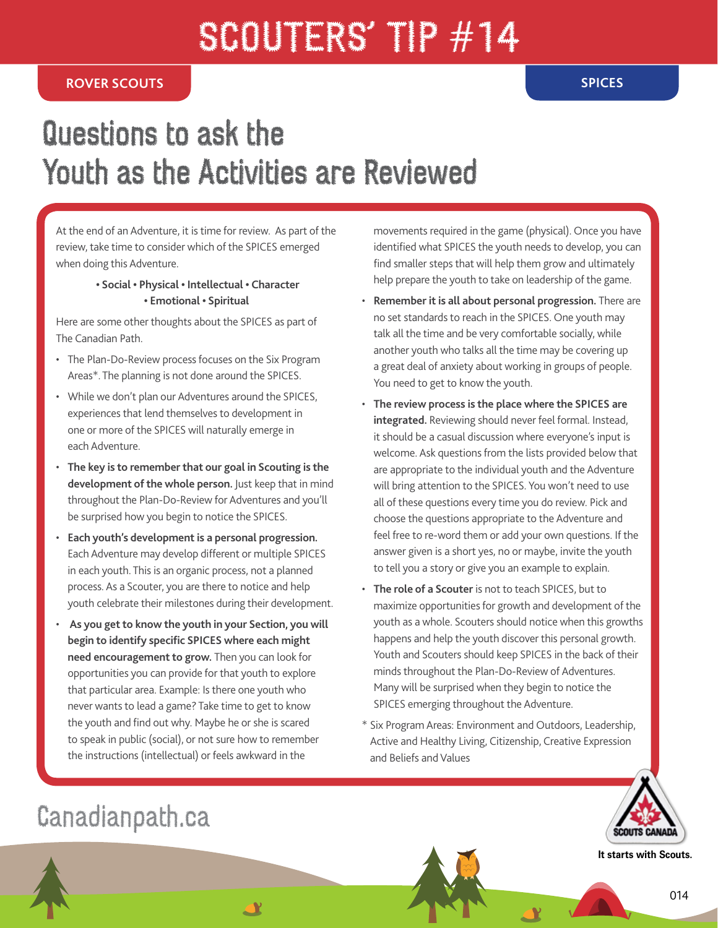# SCOUTERS' TP #14

#### **ROVER SCOUTS SPICES**

## Questions to ask the Youth as the Activities are Reviewed

At the end of an Adventure, it is time for review. As part of the review, take time to consider which of the SPICES emerged when doing this Adventure.

#### **• Social • Physical • Intellectual • Character • Emotional • Spiritual**

Here are some other thoughts about the SPICES as part of The Canadian Path.

- The Plan-Do-Review process focuses on the Six Program Areas\*. The planning is not done around the SPICES.
- While we don't plan our Adventures around the SPICES, experiences that lend themselves to development in one or more of the SPICES will naturally emerge in each Adventure.
- **The key is to remember that our goal in Scouting is the development of the whole person.** Just keep that in mind throughout the Plan-Do-Review for Adventures and you'll be surprised how you begin to notice the SPICES.
- **Each youth's development is a personal progression.**  Each Adventure may develop different or multiple SPICES in each youth. This is an organic process, not a planned process. As a Scouter, you are there to notice and help youth celebrate their milestones during their development.
- • **As you get to know the youth in your Section, you will begin to identify specific SPICES where each might need encouragement to grow.** Then you can look for opportunities you can provide for that youth to explore that particular area. Example: Is there one youth who never wants to lead a game? Take time to get to know the youth and find out why. Maybe he or she is scared to speak in public (social), or not sure how to remember the instructions (intellectual) or feels awkward in the

**AY** 

movements required in the game (physical). Once you have identified what SPICES the youth needs to develop, you can find smaller steps that will help them grow and ultimately help prepare the youth to take on leadership of the game.

- **Remember it is all about personal progression.** There are no set standards to reach in the SPICES. One youth may talk all the time and be very comfortable socially, while another youth who talks all the time may be covering up a great deal of anxiety about working in groups of people. You need to get to know the youth.
- **The review process is the place where the SPICES are integrated.** Reviewing should never feel formal. Instead, it should be a casual discussion where everyone's input is welcome. Ask questions from the lists provided below that are appropriate to the individual youth and the Adventure will bring attention to the SPICES. You won't need to use all of these questions every time you do review. Pick and choose the questions appropriate to the Adventure and feel free to re-word them or add your own questions. If the answer given is a short yes, no or maybe, invite the youth to tell you a story or give you an example to explain.
- **The role of a Scouter** is not to teach SPICES, but to maximize opportunities for growth and development of the youth as a whole. Scouters should notice when this growths happens and help the youth discover this personal growth. Youth and Scouters should keep SPICES in the back of their minds throughout the Plan-Do-Review of Adventures. Many will be surprised when they begin to notice the SPICES emerging throughout the Adventure.
- \* Six Program Areas: Environment and Outdoors, Leadership, Active and Healthy Living, Citizenship, Creative Expression and Beliefs and Values



**It starts with Scouts.**

### Canadianpath.ca